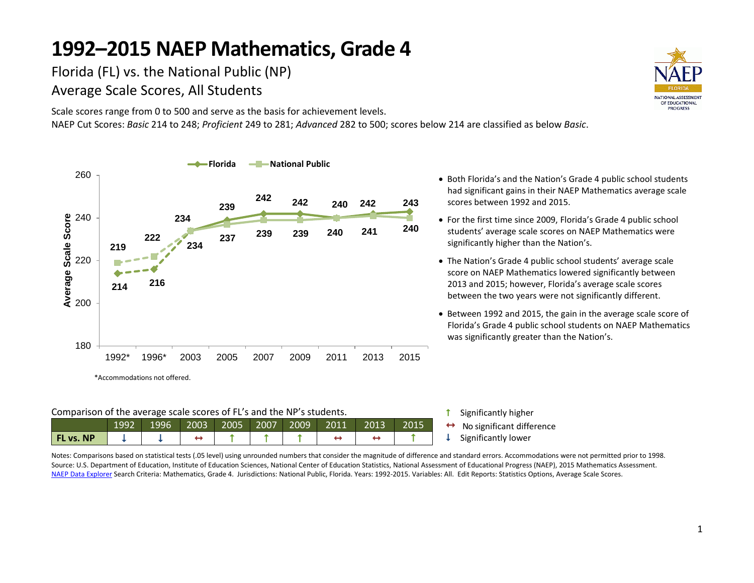Florida (FL) vs. the National Public (NP) Average Scale Scores, All Students

Scale scores range from 0 to 500 and serve as the basis for achievement levels. NAEP Cut Scores: *Basic* 214 to 248; *Proficient* 249 to 281; *Advanced* 282 to 500; scores below 214 are classified as below *Basic*.



#### Comparison of the average scale scores of FL's and the NP's students.

| 2003 2005 2007 2009 2011 |      |      |  |  |  |  |  |      |      |  |       |  |
|--------------------------|------|------|--|--|--|--|--|------|------|--|-------|--|
|                          | 1992 | 1996 |  |  |  |  |  | 2013 | 2015 |  | No s  |  |
| <b>FL vs. NP</b>         |      |      |  |  |  |  |  |      |      |  | Signi |  |

• Both Florida's and the Nation's Grade 4 public school students had significant gains in their NAEP Mathematics average scale scores between 1992 and 2015.

- For the first time since 2009, Florida's Grade 4 public school students' average scale scores on NAEP Mathematics were significantly higher than the Nation's.
- The Nation's Grade 4 public school students' average scale score on NAEP Mathematics lowered significantly between 2013 and 2015; however, Florida's average scale scores between the two years were not significantly different.
- Between 1992 and 2015, the gain in the average scale score of Florida's Grade 4 public school students on NAEP Mathematics was significantly greater than the Nation's.

- **1** Significantly higher
- significant difference
- ificantly lower

Notes: Comparisons based on statistical tests (.05 level) using unrounded numbers that consider the magnitude of difference and standard errors. Accommodations were not permitted prior to 1998. Source: U.S. Department of Education, Institute of Education Sciences, National Center of Education Statistics, National Assessment of Educational Progress (NAEP), 2015 Mathematics Assessment. [NAEP Data Explorer](http://nces.ed.gov/nationsreportcard/naepdata/) Search Criteria: Mathematics, Grade 4. Jurisdictions: National Public, Florida. Years: 1992-2015. Variables: All. Edit Reports: Statistics Options, Average Scale Scores.

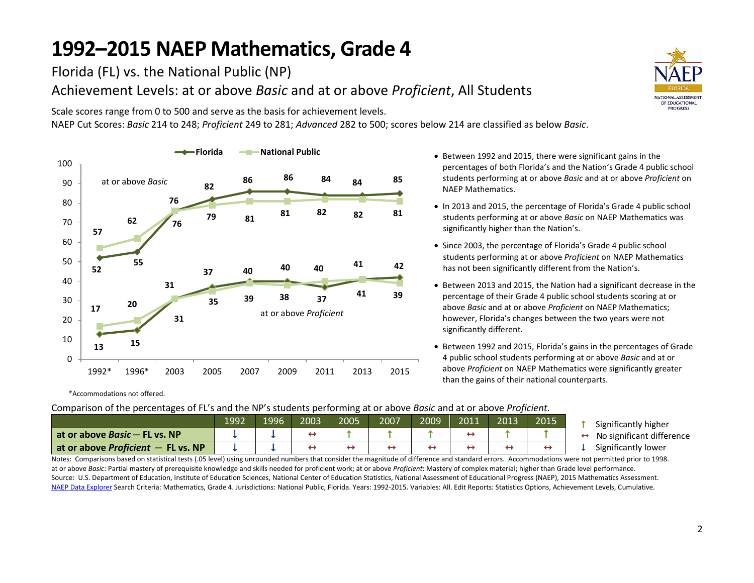Florida (FL) vs. the National Public (NP) Achievement Levels: at or above *Basic* and at or above *Proficient*, All Students

Scale scores range from 0 to 500 and serve as the basis for achievement levels.

NAEP Cut Scores: *Basic* 214 to 248; *Proficient* 249 to 281; *Advanced* 282 to 500; scores below 214 are classified as below *Basic*.



\*Accommodations not offered.

Comparison of the percentages of FL's and the NP's students performing at or above *Basic* and at or above *Proficient.*

|                                        | 1992 | 1996 | 2003 | 2005 | 2007 | 2009 | 2011 | 2013 | 2015 |
|----------------------------------------|------|------|------|------|------|------|------|------|------|
| l at or above <i>Basic</i> — FL vs. NP |      |      |      |      |      |      |      |      |      |
| at or above Proficient $-$ FL vs. NP   |      |      |      |      |      |      |      |      |      |

- Between 1992 and 2015, there were significant gains in the percentages of both Florida's and the Nation's Grade 4 public school students performing at or above *Basic* and at or above *Proficient* on NAEP Mathematics.
- In 2013 and 2015, the percentage of Florida's Grade 4 public school students performing at or above *Basic* on NAEP Mathematics was significantly higher than the Nation's.
- Since 2003, the percentage of Florida's Grade 4 public school students performing at or above *Proficient* on NAEP Mathematics has not been significantly different from the Nation's.
- Between 2013 and 2015, the Nation had a significant decrease in the percentage of their Grade 4 public school students scoring at or above *Basic* and at or above *Proficient* on NAEP Mathematics; however, Florida's changes between the two years were not significantly different.
- Between 1992 and 2015, Florida's gains in the percentages of Grade 4 public school students performing at or above *Basic* and at or above *Proficient* on NAEP Mathematics were significantly greater than the gains of their national counterparts.



- No significant difference
- Significantly lower

Notes: Comparisons based on statistical tests (.05 level) using unrounded numbers that consider the magnitude of difference and standard errors. Accommodations were not permitted prior to 1998. at or above *Basic*: Partial mastery of prerequisite knowledge and skills needed for proficient work; at or above *Proficient*: Mastery of complex material; higher than Grade level performance. Source: U.S. Department of Education, Institute of Education Sciences, National Center of Education Statistics, National Assessment of Educational Progress (NAEP), 2015 Mathematics Assessment. [NAEP Data Explorer](http://nces.ed.gov/nationsreportcard/naepdata/) Search Criteria: Mathematics, Grade 4. Jurisdictions: National Public, Florida. Years: 1992-2015. Variables: All. Edit Reports: Statistics Options, Achievement Levels, Cumulative.

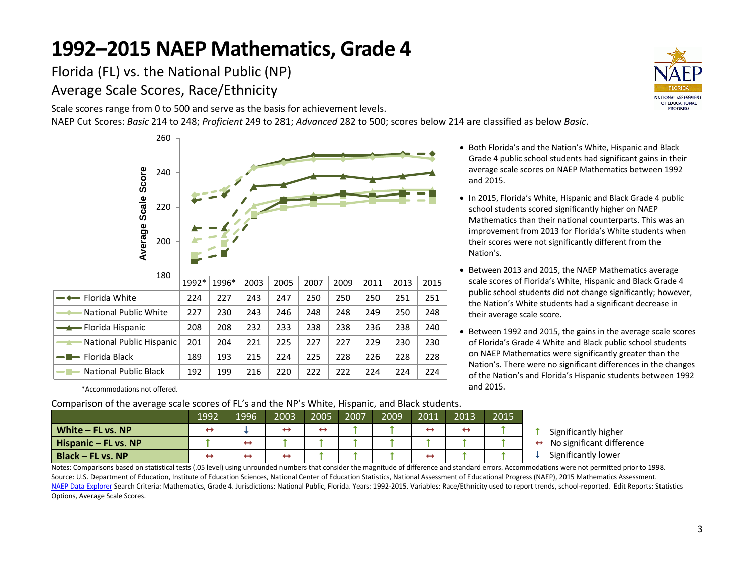Florida (FL) vs. the National Public (NP) Average Scale Scores, Race/Ethnicity

Scale scores range from 0 to 500 and serve as the basis for achievement levels.

NAEP Cut Scores: *Basic* 214 to 248; *Proficient* 249 to 281; *Advanced* 282 to 500; scores below 214 are classified as below *Basic*.

|                              | 260 |       |       |      |      |      |      |      |      |      |
|------------------------------|-----|-------|-------|------|------|------|------|------|------|------|
| Score                        | 240 |       |       |      |      |      |      |      |      |      |
|                              | 220 |       |       |      |      |      |      |      |      |      |
| Average Scale                | 200 |       |       |      |      |      |      |      |      |      |
|                              |     |       |       |      |      |      |      |      |      |      |
|                              | 180 | 1992* | 1996* | 2003 | 2005 | 2007 | 2009 | 2011 | 2013 | 2015 |
| Florida White                |     | 224   | 227   | 243  | 247  | 250  | 250  | 250  | 251  | 251  |
| <b>National Public White</b> |     | 227   | 230   | 243  | 246  | 248  | 248  | 249  | 250  | 248  |
| Florida Hispanic             |     | 208   | 208   | 232  | 233  | 238  | 238  | 236  | 238  | 240  |
| National Public Hispanic     |     | 201   | 204   | 221  | 225  | 227  | 227  | 229  | 230  | 230  |
| Florida Black                |     | 189   | 193   | 215  | 224  | 225  | 228  | 226  | 228  | 228  |
| <b>National Public Black</b> |     | 192   | 199   | 216  | 220  | 222  | 222  | 224  | 224  | 224  |

\*Accommodations not offered.

Comparison of the average scale scores of FL's and the NP's White, Hispanic, and Black students.

|                      | 1992 | 1996 | 2003 | 2005 | 2007 | 2009 | 2011              | 2013                     | 2015 |
|----------------------|------|------|------|------|------|------|-------------------|--------------------------|------|
| White $-$ FL vs. NP  |      |      | ↔    |      |      |      | $\leftrightarrow$ | $\overline{\phantom{a}}$ |      |
| Hispanic – FL vs. NP |      | ↔    |      |      |      |      |                   |                          |      |
| $Black - FL vs. NP$  |      |      |      |      |      |      | ↔                 |                          |      |

- Both Florida's and the Nation's White, Hispanic and Black Grade 4 public school students had significant gains in their average scale scores on NAEP Mathematics between 1992 and 2015.
- In 2015, Florida's White, Hispanic and Black Grade 4 public school students scored significantly higher on NAEP Mathematics than their national counterparts. This was an improvement from 2013 for Florida's White students when their scores were not significantly different from the Nation's.
- Between 2013 and 2015, the NAEP Mathematics average scale scores of Florida's White, Hispanic and Black Grade 4 public school students did not change significantly; however, the Nation's White students had a significant decrease in their average scale score.
- Between 1992 and 2015, the gains in the average scale scores of Florida's Grade 4 White and Black public school students on NAEP Mathematics were significantly greater than the Nation's. There were no significant differences in the changes of the Nation's and Florida's Hispanic students between 1992 and 2015.
	- Significantly higher
	- No significant difference
	- $\downarrow$  Significantly lower

Notes: Comparisons based on statistical tests (.05 level) using unrounded numbers that consider the magnitude of difference and standard errors. Accommodations were not permitted prior to 1998. Source: U.S. Department of Education, Institute of Education Sciences, National Center of Education Statistics, National Assessment of Educational Progress (NAEP), 2015 Mathematics Assessment. [NAEP Data Explorer](http://nces.ed.gov/nationsreportcard/naepdata/) Search Criteria: Mathematics, Grade 4. Jurisdictions: National Public, Florida. Years: 1992-2015. Variables: Race/Ethnicity used to report trends, school-reported. Edit Reports: Statistics Options, Average Scale Scores.

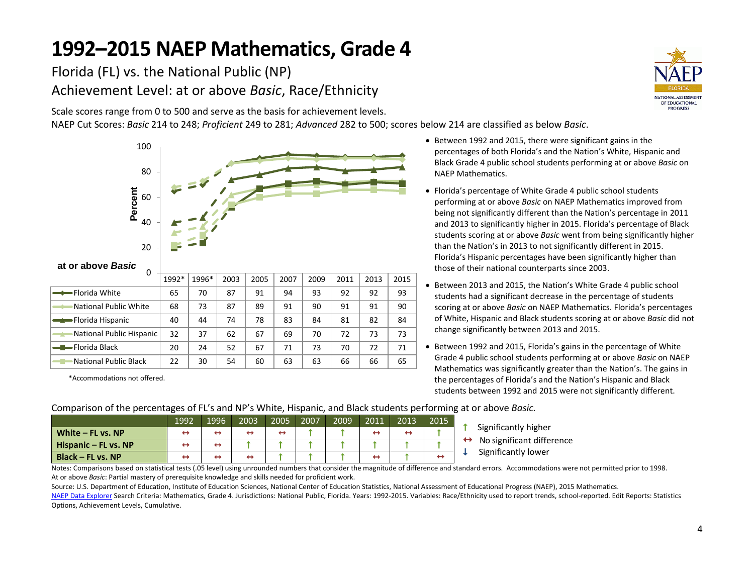Florida (FL) vs. the National Public (NP) Achievement Level: at or above *Basic*, Race/Ethnicity

Scale scores range from 0 to 500 and serve as the basis for achievement levels.

NAEP Cut Scores: *Basic* 214 to 248; *Proficient* 249 to 281; *Advanced* 282 to 500; scores below 214 are classified as below *Basic*.



\*Accommodations not offered.

- Between 1992 and 2015, there were significant gains in the percentages of both Florida's and the Nation's White, Hispanic and Black Grade 4 public school students performing at or above *Basic* on NAEP Mathematics.
- Florida's percentage of White Grade 4 public school students performing at or above *Basic* on NAEP Mathematics improved from being not significantly different than the Nation's percentage in 2011 and 2013 to significantly higher in 2015. Florida's percentage of Black students scoring at or above *Basic* went from being significantly higher than the Nation's in 2013 to not significantly different in 2015. Florida's Hispanic percentages have been significantly higher than those of their national counterparts since 2003.
- Between 2013 and 2015, the Nation's White Grade 4 public school students had a significant decrease in the percentage of students scoring at or above *Basic* on NAEP Mathematics. Florida's percentages of White, Hispanic and Black students scoring at or above *Basic* did not change significantly between 2013 and 2015.
- Between 1992 and 2015, Florida's gains in the percentage of White Grade 4 public school students performing at or above *Basic* on NAEP Mathematics was significantly greater than the Nation's. The gains in the percentages of Florida's and the Nation's Hispanic and Black students between 1992 and 2015 were not significantly different.

| <u>oompanoon of the percentages of FED and In Diffinity mspanno, and biach stadents performing at of above basic.</u> |      |      |      |      |      |      |      |      |      |                           |  |  |  |
|-----------------------------------------------------------------------------------------------------------------------|------|------|------|------|------|------|------|------|------|---------------------------|--|--|--|
|                                                                                                                       | 1992 | 1996 | 2003 | 2005 | 2007 | 2009 | 2011 | 2013 | 2015 |                           |  |  |  |
| White $-$ FL vs. NP                                                                                                   |      | ↔    | ↔    | ↔    |      |      | ↔    |      |      | Significantly higher      |  |  |  |
| Hispanic – FL vs. NP                                                                                                  |      |      |      |      |      |      |      |      |      | No significant difference |  |  |  |
| Black - FL vs. NP                                                                                                     |      |      | ↔    |      |      |      | ↔    |      |      | Significantly lower       |  |  |  |

Comparison of the percentages of FL's and NP's White, Hispanic, and Black students performing at or above *Basic.*

Notes: Comparisons based on statistical tests (.05 level) using unrounded numbers that consider the magnitude of difference and standard errors. Accommodations were not permitted prior to 1998. At or above *Basic*: Partial mastery of prerequisite knowledge and skills needed for proficient work.

Source: U.S. Department of Education, Institute of Education Sciences, National Center of Education Statistics, National Assessment of Educational Progress (NAEP), 2015 Mathematics.

[NAEP Data Explorer](http://nces.ed.gov/nationsreportcard/naepdata/) Search Criteria: Mathematics, Grade 4. Jurisdictions: National Public, Florida. Years: 1992-2015. Variables: Race/Ethnicity used to report trends, school-reported. Edit Reports: Statistics Options, Achievement Levels, Cumulative.

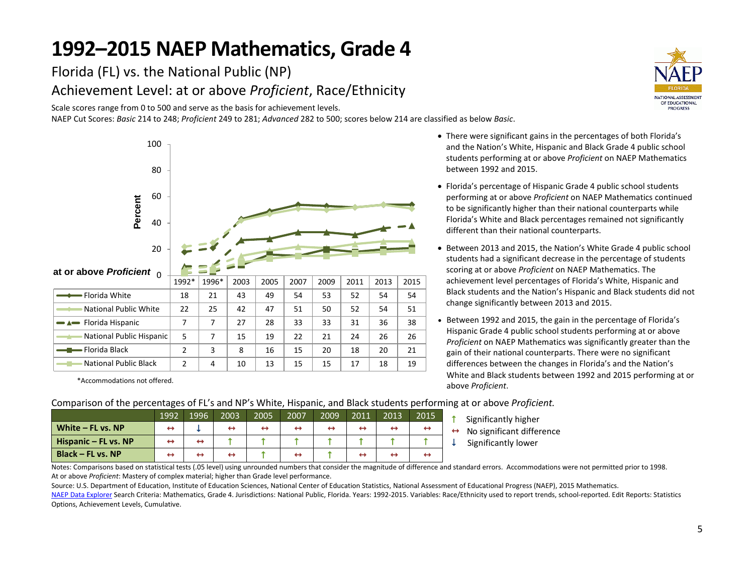Florida (FL) vs. the National Public (NP) Achievement Level: at or above *Proficient*, Race/Ethnicity

Scale scores range from 0 to 500 and serve as the basis for achievement levels.

NAEP Cut Scores: *Basic* 214 to 248; *Proficient* 249 to 281; *Advanced* 282 to 500; scores below 214 are classified as below *Basic*.



\*Accommodations not offered.

- **TIONAL ASSESSMENT** OF EDUCATIONAL **PROGRESS**
- There were significant gains in the percentages of both Florida's and the Nation's White, Hispanic and Black Grade 4 public school students performing at or above *Proficient* on NAEP Mathematics between 1992 and 2015.
- Florida's percentage of Hispanic Grade 4 public school students performing at or above *Proficient* on NAEP Mathematics continued to be significantly higher than their national counterparts while Florida's White and Black percentages remained not significantly different than their national counterparts.
- Between 2013 and 2015, the Nation's White Grade 4 public school students had a significant decrease in the percentage of students scoring at or above *Proficient* on NAEP Mathematics. The achievement level percentages of Florida's White, Hispanic and Black students and the Nation's Hispanic and Black students did not change significantly between 2013 and 2015.
- Between 1992 and 2015, the gain in the percentage of Florida's Hispanic Grade 4 public school students performing at or above *Proficient* on NAEP Mathematics was significantly greater than the gain of their national counterparts. There were no significant differences between the changes in Florida's and the Nation's White and Black students between 1992 and 2015 performing at or above *Proficient*.

#### Comparison of the percentages of FL's and NP's White, Hispanic, and Black students performing at or above *Proficient.*

|                      | 1992 | 1996              | 2003              | 2005 | 2007 | 2009 | 2011 | 2013 | 2015 |
|----------------------|------|-------------------|-------------------|------|------|------|------|------|------|
| White – FL vs. NP    | ↔    |                   | ↔                 | ↔    |      |      |      |      |      |
| Hispanic - FL vs. NP | ↔    | ↔                 |                   |      |      |      |      |      |      |
| Black – FL vs. NP    | ↔    | $\leftrightarrow$ | $\leftrightarrow$ |      |      |      |      |      |      |

- Significantly higher
- $\leftrightarrow$  No significant difference
- $\downarrow$  Significantly lower

Notes: Comparisons based on statistical tests (.05 level) using unrounded numbers that consider the magnitude of difference and standard errors. Accommodations were not permitted prior to 1998. At or above *Proficient*: Mastery of complex material; higher than Grade level performance.

Source: U.S. Department of Education, Institute of Education Sciences, National Center of Education Statistics, National Assessment of Educational Progress (NAEP), 2015 Mathematics.

[NAEP Data Explorer](http://nces.ed.gov/nationsreportcard/naepdata/) Search Criteria: Mathematics, Grade 4. Jurisdictions: National Public, Florida. Years: 1992-2015. Variables: Race/Ethnicity used to report trends, school-reported. Edit Reports: Statistics Options, Achievement Levels, Cumulative.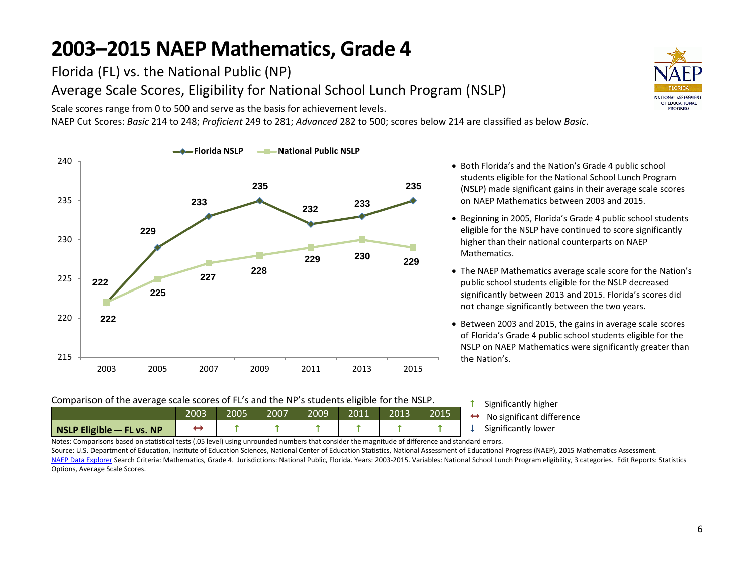Florida (FL) vs. the National Public (NP)

Options, Average Scale Scores.

Average Scale Scores, Eligibility for National School Lunch Program (NSLP)

Scale scores range from 0 to 500 and serve as the basis for achievement levels.

NAEP Cut Scores: *Basic* 214 to 248; *Proficient* 249 to 281; *Advanced* 282 to 500; scores below 214 are classified as below *Basic*.



- Both Florida's and the Nation's Grade 4 public school students eligible for the National School Lunch Program (NSLP) made significant gains in their average scale scores on NAEP Mathematics between 2003 and 2015.
- Beginning in 2005, Florida's Grade 4 public school students eligible for the NSLP have continued to score significantly higher than their national counterparts on NAEP Mathematics.
- The NAEP Mathematics average scale score for the Nation's public school students eligible for the NSLP decreased significantly between 2013 and 2015. Florida's scores did not change significantly between the two years.
- Between 2003 and 2015, the gains in average scale scores of Florida's Grade 4 public school students eligible for the NSLP on NAEP Mathematics were significantly greater than the Nation's.

| Comparison of the average scale scores of FL's and the NP's students eligible for the NSLP. |      |  |                            |  |  |  |  |  |             |  |  |
|---------------------------------------------------------------------------------------------|------|--|----------------------------|--|--|--|--|--|-------------|--|--|
|                                                                                             | 2015 |  | Significant<br>No signific |  |  |  |  |  |             |  |  |
| $\vert$ NSLP Eligible $\vert$ FL vs. NP                                                     |      |  |                            |  |  |  |  |  | Significant |  |  |

ly higher ant difference ly lower

Notes: Comparisons based on statistical tests (.05 level) using unrounded numbers that consider the magnitude of difference and standard errors. Source: U.S. Department of Education, Institute of Education Sciences, National Center of Education Statistics, National Assessment of Educational Progress (NAEP), 2015 Mathematics Assessment. [NAEP Data Explorer](http://nces.ed.gov/nationsreportcard/naepdata/) Search Criteria: Mathematics, Grade 4. Jurisdictions: National Public, Florida. Years: 2003-2015. Variables: National School Lunch Program eligibility, 3 categories. Edit Reports: Statistics

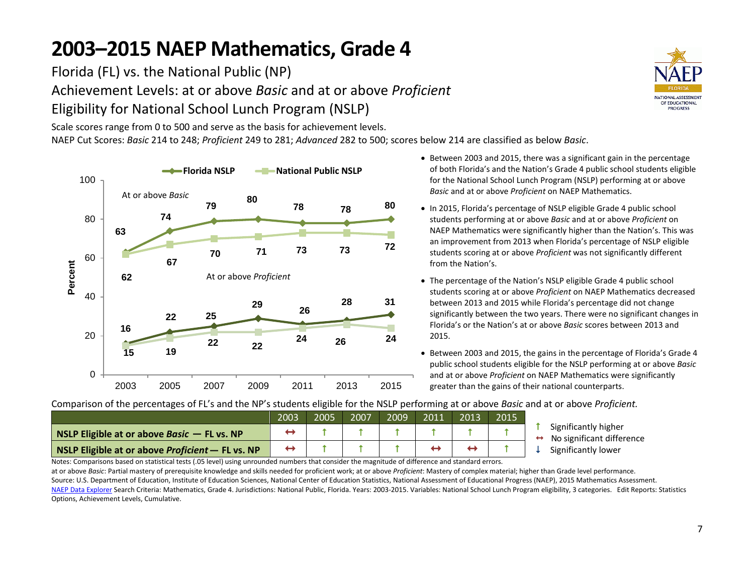Florida (FL) vs. the National Public (NP) Achievement Levels: at or above *Basic* and at or above *Proficient* Eligibility for National School Lunch Program (NSLP)

Scale scores range from 0 to 500 and serve as the basis for achievement levels. NAEP Cut Scores: *Basic* 214 to 248; *Proficient* 249 to 281; *Advanced* 282 to 500; scores below 214 are classified as below *Basic*.



- NATIONAL ASSESSMENT OF EDUCATIONAL **PROGRESS**
- Between 2003 and 2015, there was a significant gain in the percentage of both Florida's and the Nation's Grade 4 public school students eligible for the National School Lunch Program (NSLP) performing at or above *Basic* and at or above *Proficient* on NAEP Mathematics.
- In 2015, Florida's percentage of NSLP eligible Grade 4 public school students performing at or above *Basic* and at or above *Proficient* on NAEP Mathematics were significantly higher than the Nation's. This was an improvement from 2013 when Florida's percentage of NSLP eligible students scoring at or above *Proficient* was not significantly different from the Nation's.
- The percentage of the Nation's NSLP eligible Grade 4 public school students scoring at or above *Proficient* on NAEP Mathematics decreased between 2013 and 2015 while Florida's percentage did not change significantly between the two years. There were no significant changes in Florida's or the Nation's at or above *Basic* scores between 2013 and 2015.
- Between 2003 and 2015, the gains in the percentage of Florida's Grade 4 public school students eligible for the NSLP performing at or above *Basic* and at or above *Proficient* on NAEP Mathematics were significantly greater than the gains of their national counterparts.

2003 2005 2007 2009 2011 2013 2015 **NSLP Eligible at or above** *Basic* – **FL vs. NP NSLP Eligible at or above Proficient** – **FL** vs. NP  $\begin{array}{ccc} \leftrightarrow & \uparrow & \uparrow & \uparrow & \uparrow & \leftrightarrow & \leftrightarrow & \uparrow \end{array}$ 

Comparison of the percentages of FL's and the NP's students eligible for the NSLP performing at or above *Basic* and at or above *Proficient.*

- **1** Significantly higher
- $\leftrightarrow$  No significant difference
- Significantly lower

Notes: Comparisons based on statistical tests (.05 level) using unrounded numbers that consider the magnitude of difference and standard errors.

at or above *Basic*: Partial mastery of prerequisite knowledge and skills needed for proficient work; at or above *Proficient*: Mastery of complex material; higher than Grade level performance. Source: U.S. Department of Education, Institute of Education Sciences, National Center of Education Statistics, National Assessment of Educational Progress (NAEP), 2015 Mathematics Assessment. [NAEP Data Explorer](http://nces.ed.gov/nationsreportcard/naepdata/) Search Criteria: Mathematics, Grade 4. Jurisdictions: National Public, Florida. Years: 2003-2015. Variables: National School Lunch Program eligibility, 3 categories. Edit Reports: Statistics Options, Achievement Levels, Cumulative.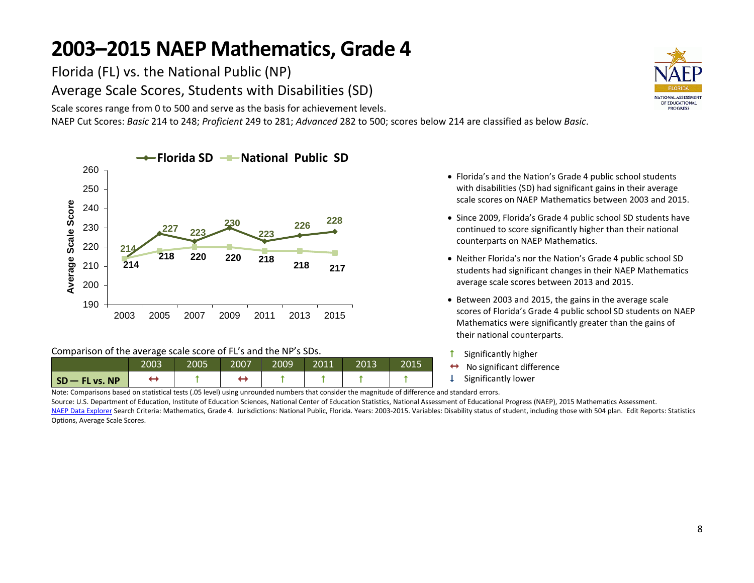Florida (FL) vs. the National Public (NP) Average Scale Scores, Students with Disabilities (SD)

Scale scores range from 0 to 500 and serve as the basis for achievement levels.

NAEP Cut Scores: *Basic* 214 to 248; *Proficient* 249 to 281; *Advanced* 282 to 500; scores below 214 are classified as below *Basic*.



#### Comparison of the average scale score of FL's and the NP's SDs.

|              | 2003 | 2005 | 2007 | 2009' | 2011 | 2013 | 2015 |
|--------------|------|------|------|-------|------|------|------|
| SD-FL vs. NP |      |      |      |       |      |      |      |

- Florida's and the Nation's Grade 4 public school students with disabilities (SD) had significant gains in their average scale scores on NAEP Mathematics between 2003 and 2015.
- Since 2009, Florida's Grade 4 public school SD students have continued to score significantly higher than their national counterparts on NAEP Mathematics.
- Neither Florida's nor the Nation's Grade 4 public school SD students had significant changes in their NAEP Mathematics average scale scores between 2013 and 2015.
- Between 2003 and 2015, the gains in the average scale scores of Florida's Grade 4 public school SD students on NAEP Mathematics were significantly greater than the gains of their national counterparts.
- **1** Significantly higher
- $\leftrightarrow$  No significant difference
- Significantly lower

Note: Comparisons based on statistical tests (.05 level) using unrounded numbers that consider the magnitude of difference and standard errors.

Source: U.S. Department of Education, Institute of Education Sciences, National Center of Education Statistics, National Assessment of Educational Progress (NAEP), 2015 Mathematics Assessment.

[NAEP Data Explorer](http://nces.ed.gov/nationsreportcard/naepdata/) Search Criteria: Mathematics, Grade 4. Jurisdictions: National Public, Florida. Years: 2003-2015. Variables: Disability status of student, including those with 504 plan. Edit Reports: Statistics Options, Average Scale Scores.

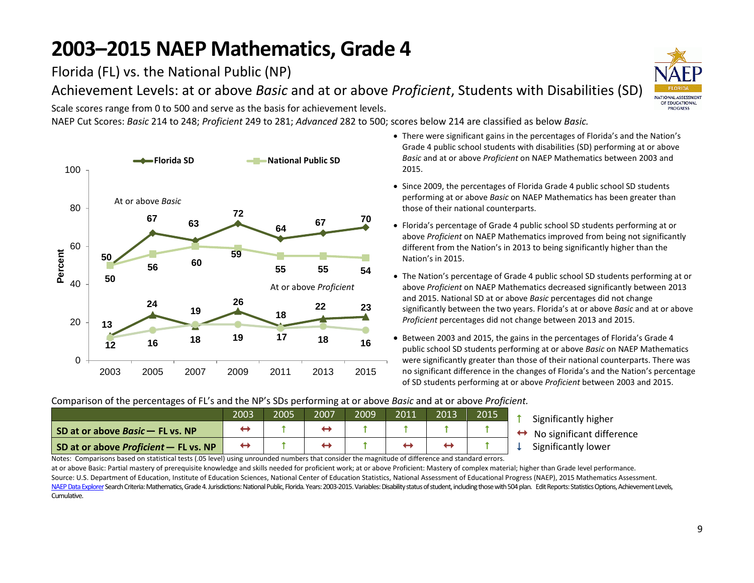Florida (FL) vs. the National Public (NP)

Achievement Levels: at or above *Basic* and at or above *Proficient*, Students with Disabilities (SD)

Scale scores range from 0 to 500 and serve as the basis for achievement levels.

NAEP Cut Scores: *Basic* 214 to 248; *Proficient* 249 to 281; *Advanced* 282 to 500; scores below 214 are classified as below *Basic.*



- There were significant gains in the percentages of Florida's and the Nation's Grade 4 public school students with disabilities (SD) performing at or above *Basic* and at or above *Proficient* on NAEP Mathematics between 2003 and 2015.
- Since 2009, the percentages of Florida Grade 4 public school SD students performing at or above *Basic* on NAEP Mathematics has been greater than those of their national counterparts.
- Florida's percentage of Grade 4 public school SD students performing at or above *Proficient* on NAEP Mathematics improved from being not significantly different from the Nation's in 2013 to being significantly higher than the Nation's in 2015.
- The Nation's percentage of Grade 4 public school SD students performing at or above *Proficient* on NAEP Mathematics decreased significantly between 2013 and 2015. National SD at or above *Basic* percentages did not change significantly between the two years. Florida's at or above *Basic* and at or above *Proficient* percentages did not change between 2013 and 2015.
- Between 2003 and 2015, the gains in the percentages of Florida's Grade 4 public school SD students performing at or above *Basic* on NAEP Mathematics were significantly greater than those of their national counterparts. There was no significant difference in the changes of Florida's and the Nation's percentage of SD students performing at or above *Proficient* between 2003 and 2015.

#### Comparison of the percentages of FL's and the NP's SDs performing at or above *Basic* and at or above *Proficient.*

|                                       | 2003 | 2005 | 2007 | 2009 | 2011 | 2013 | 2015 |  |
|---------------------------------------|------|------|------|------|------|------|------|--|
| SD at or above Basic - FL vs. NP      |      |      |      |      |      |      |      |  |
| SD at or above Proficient – FL vs. NP |      |      |      |      |      |      |      |  |

- Significantly higher
- → No significant difference<br>Significantly lower
- 

Notes: Comparisons based on statistical tests (.05 level) using unrounded numbers that consider the magnitude of difference and standard errors.

at or above Basic: Partial mastery of prerequisite knowledge and skills needed for proficient work; at or above Proficient: Mastery of complex material; higher than Grade level performance. Source: U.S. Department of Education, Institute of Education Sciences, National Center of Education Statistics, National Assessment of Educational Progress (NAEP), 2015 Mathematics Assessment. NAEP Data Explorer Search Criteria: Mathematics, Grade 4. Jurisdictions: National Public, Florida. Years: 2003-2015. Variables: Disability status of student, including those with 504 plan. Edit Reports: Statistics Options, Cumulative.

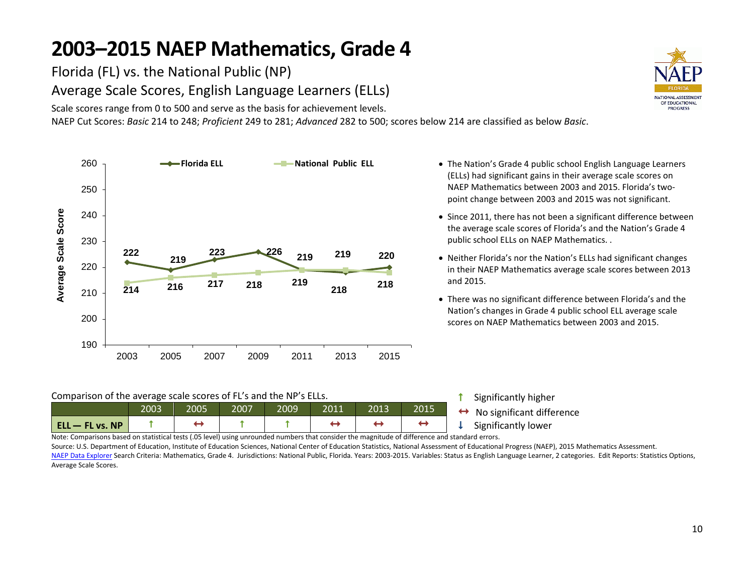Florida (FL) vs. the National Public (NP) Average Scale Scores, English Language Learners (ELLs)

Scale scores range from 0 to 500 and serve as the basis for achievement levels.

NAEP Cut Scores: *Basic* 214 to 248; *Proficient* 249 to 281; *Advanced* 282 to 500; scores below 214 are classified as below *Basic*.



Comparison of the average scale scores of FL's and the NP's ELLs.

| 2013<br>2005<br>2007<br>2009'<br>2003<br>2011<br>2015 | $ $ ELL $-$ FL vs. NP |  |  |  | Sigr |
|-------------------------------------------------------|-----------------------|--|--|--|------|
|                                                       |                       |  |  |  | No   |

- The Nation's Grade 4 public school English Language Learners (ELLs) had significant gains in their average scale scores on NAEP Mathematics between 2003 and 2015. Florida's twopoint change between 2003 and 2015 was not significant.
- Since 2011, there has not been a significant difference between the average scale scores of Florida's and the Nation's Grade 4 public school ELLs on NAEP Mathematics. .
- Neither Florida's nor the Nation's ELLs had significant changes in their NAEP Mathematics average scale scores between 2013 and 2015.
- There was no significant difference between Florida's and the Nation's changes in Grade 4 public school ELL average scale scores on NAEP Mathematics between 2003 and 2015.

**1** Significantly higher  $\theta$  significant difference<br>nificantly lower

Note: Comparisons based on statistical tests (.05 level) using unrounded numbers that consider the magnitude of difference and standard errors.

Source: U.S. Department of Education, Institute of Education Sciences, National Center of Education Statistics, National Assessment of Educational Progress (NAEP), 2015 Mathematics Assessment. [NAEP Data Explorer](http://nces.ed.gov/nationsreportcard/naepdata/) Search Criteria: Mathematics, Grade 4. Jurisdictions: National Public, Florida. Years: 2003-2015. Variables: Status as English Language Learner, 2 categories. Edit Reports: Statistics Options, Average Scale Scores.